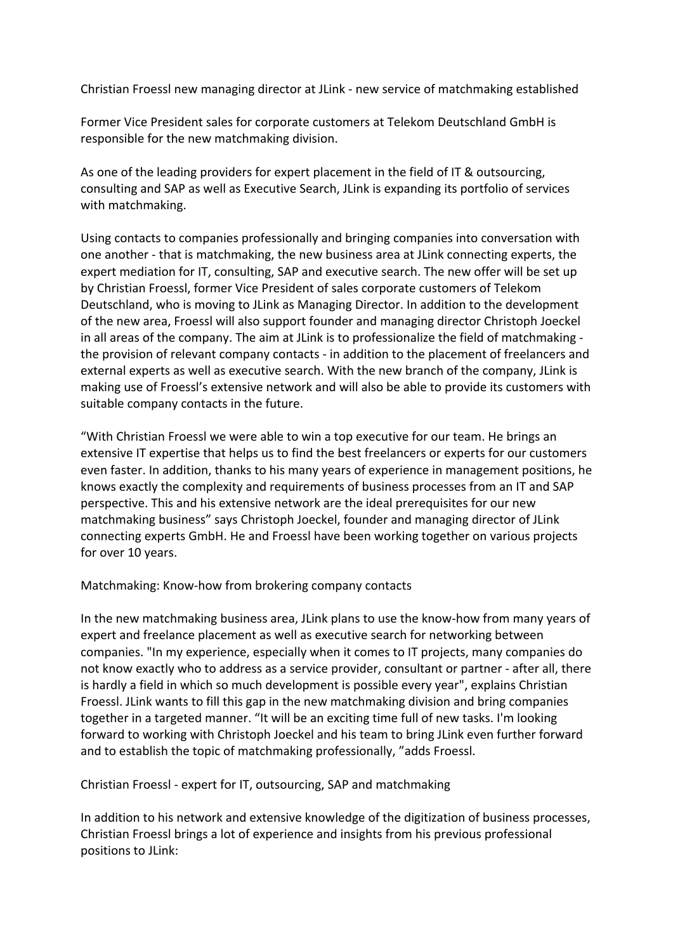Christian Froessl new managing director at JLink - new service of matchmaking established

Former Vice President sales for corporate customers at Telekom Deutschland GmbH is responsible for the new matchmaking division.

As one of the leading providers for expert placement in the field of IT & outsourcing, consulting and SAP as well as Executive Search, JLink is expanding its portfolio of services with matchmaking.

Using contacts to companies professionally and bringing companies into conversation with one another - that is matchmaking, the new business area at JLink connecting experts, the expert mediation for IT, consulting, SAP and executive search. The new offer will be set up by Christian Froessl, former Vice President of sales corporate customers of Telekom Deutschland, who is moving to JLink as Managing Director. In addition to the development of the new area, Froessl will also support founder and managing director Christoph Joeckel in all areas of the company. The aim at JLink is to professionalize the field of matchmaking the provision of relevant company contacts - in addition to the placement of freelancers and external experts as well as executive search. With the new branch of the company, JLink is making use of Froessl's extensive network and will also be able to provide its customers with suitable company contacts in the future.

"With Christian Froessl we were able to win a top executive for our team. He brings an extensive IT expertise that helps us to find the best freelancers or experts for our customers even faster. In addition, thanks to his many years of experience in management positions, he knows exactly the complexity and requirements of business processes from an IT and SAP perspective. This and his extensive network are the ideal prerequisites for our new matchmaking business" says Christoph Joeckel, founder and managing director of JLink connecting experts GmbH. He and Froessl have been working together on various projects for over 10 years.

Matchmaking: Know-how from brokering company contacts

In the new matchmaking business area, JLink plans to use the know-how from many years of expert and freelance placement as well as executive search for networking between companies. "In my experience, especially when it comes to IT projects, many companies do not know exactly who to address as a service provider, consultant or partner - after all, there is hardly a field in which so much development is possible every year", explains Christian Froessl. JLink wants to fill this gap in the new matchmaking division and bring companies together in a targeted manner. "It will be an exciting time full of new tasks. I'm looking forward to working with Christoph Joeckel and his team to bring JLink even further forward and to establish the topic of matchmaking professionally, "adds Froessl.

Christian Froessl - expert for IT, outsourcing, SAP and matchmaking

In addition to his network and extensive knowledge of the digitization of business processes, Christian Froessl brings a lot of experience and insights from his previous professional positions to JLink: